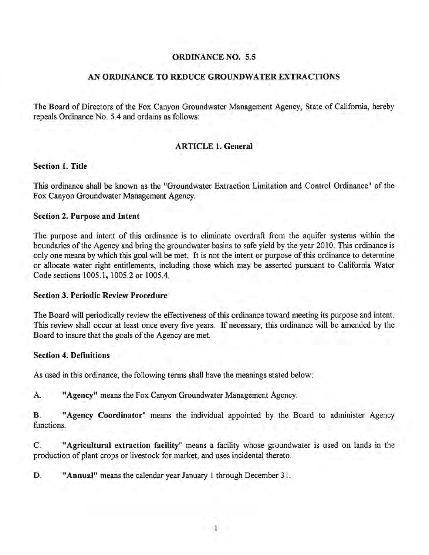## ORDINANCE NO. 5.5

## AN ORDINANCE TO REDUCE GROUNDWATER EXTRACTIONS

The Board of Directors of the Fox Canyon Groundwater Management Agency, State of California, hereby repeals Ordinance No. 5.4 and ordains as follows:

## ARTICLE 1. General

## Section 1. Title

This ordinance shall be known as the "Groundwater Extraction Limitation and Control Ordinance" of the Fox Canyon Groundwater Management Agency.

## Section 2. Purpose and Intent

The purpose and intent of this ordinance is to eliminate overdraft from the aquifer systems within the boundaries of the Agency and bring the groundwater basins to safe yield by the year 20 10. This ordinance is only one means by which this goal will be met. It is not the intent or purpose of this ordinance to determine or allocate water right entitlements, including those which may be asserted pursuant to California Water Code sections 1005.1, 1005.2 or 1005.4.

## Section 3. Periodic Review Procedure

The Board will periodically review the effectiveness of this ordinance toward meeting its purpose and intent. This review shall occur at least once every five years. If necessary, this ordinance will be amended by the Board to insure that the goals of the Agency are met.

## Section 4. Definitions

As used in this ordinance, the following terms shall have the meanings stated below:

A. "Agency" means the Fox Canyon Groundwater Management Agency.

B. "Agency Coordinator" means the individual appointed by the Board to administer Agency functions.

C. "Agricultural extraction facility" means a facility whose groundwater is used on lands in the production of plant crops or livestock for market, and uses incidental thereto.

D. "Annual" means the calendar year January 1 through December 31.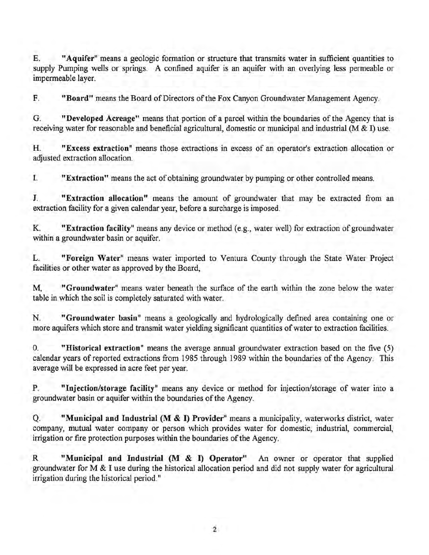E. "Aquifer" means a geologic formation or structure that transmits water in sufficient quantities to supply Pumping wells or springs. A confined aquifer is an aquifer with an overlying less permeable or impermeable layer.

F. "Board" means the Board of Directors of the Fox Canyon Groundwater Management Agency.

G. "Developed Acreage" means that portion of a parcel within the boundaries of the Agency that is receiving water for reasonable and beneficial agricultural, domestic or municipal and industrial (M & I) use.

H. "Excess extraction" means those extractions in excess of an operator's extraction allocation or adjusted extraction allocation.

I. "Extraction" means the act of obtaining groundwater by pumping or other controlled means.

J. "Extraction allocation" means the amount of groundwater that may be extracted from an extraction facility for a given calendar year, before a surcharge is imposed.

K. "Extraction facility" means any device or method (e.g., water well) for extraction of groundwater within a groundwater basin or aquifer.

L. "Foreign Water" means water imported to Ventura County through the State Water Project facilities or other water as approved by the Board,

M, "Groundwater" means water beneath the surface of the earth within the zone below the water table in which the soil is completely saturated with water.

N. "Groundwater basin" means a geologically and hydrologically defined area containing one or more aquifers which store and transmit water yielding significant quantities of water to extraction facilities.

0. "Historical extraction" means the average annual groundwater extraction based on the five (5) calendar years of reported extractions from 1985 through 1989 within the boundaries of the Agency. This average will be expressed in acre feet per year.

P. "Injection/storage facility" means any device or method for injection/storage of water into a groundwater basin or aquifer within the boundaries of the Agency.

Q. "Municipal and Industrial (M & I) Provider" means a municipality, waterworks district, water company, mutual water company or person which provides water for domestic, industrial, commercial, irrigation or fire protection purposes within the boundaries of the Agency.

R "Municipal and Industrial (M & I) Operator" An owner or operator that supplied groundwater for M & I use during the historical allocation period and did not supply water for agricultural irrigation during the historical period."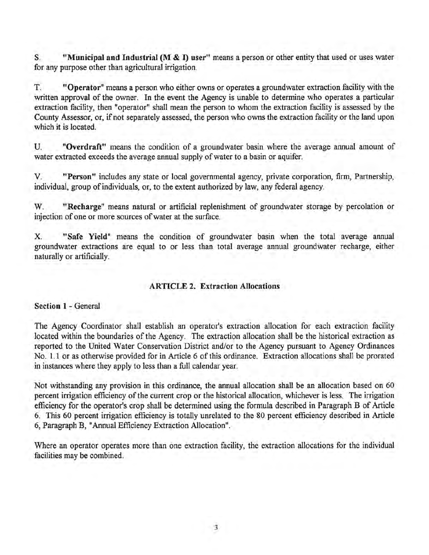S. "Municipal and Industrial (M & I) user" means a person or other entity that used or uses water for any purpose other than agricultural irrigation.

T. "Operator" means a person who either owns or operates a groundwater extraction facility with the written approval of the owner. In the event the Agency is unable to determine who operates a particular extraction facility, then "operator" shall mean the person to whom the extraction facility is assessed by the County Assessor, or, if not separately assessed, the person who owns the extraction facility or the land upon which it is located.

U. "Overdraft" means the condition of a groundwater basin where the average annual amount of water extracted exceeds the average annual supply of water to a basin or aquifer.

V. "Person" includes any state or local governmental agency, private corporation, firm, Partnership, individual, group of individuals, or, to the extent authorized by law, any federal agency.

W. "Recharge" means natural or artificial replenishment of groundwater storage by percolation or injection of one or more sources of water at the surface.

X. "Safe Yield" means the condition of groundwater basin when the total average annual groundwater extractions are equal to or less than total average annual groundwater recharge, either naturally or artificially.

## ARTICLE 2. Extraction Allocations

Section 1 - General

The Agency Coordinator shall establish an operator's extraction allocation for each extraction facility located within the boundaries of the Agency. The extraction allocation shall be the historical extraction as reported to the United Water Conservation District and/or to the Agency pursuant to Agency Ordinances No. 1.1 or as otherwise provided for in Article 6 of this ordinance. Extraction allocations shall be prorated in instances where they apply to less than a full calendar year.

Not withstanding any provision in this ordinance, the annual allocation shall be an allocation based on 60 percent irrigation efficiency of the current crop or the historical allocation, whichever is less. The irrigation efficiency for the operator's crop shall be determined using the formula described in Paragraph B of Article 6. This 60 percent irrigation efficiency is totally unrelated to the 80 percent efficiency described in Article 6, Paragraph B, "Annual Efficiency Extraction Allocation".

Where an operator operates more than one extraction facility, the extraction allocations for the individual facilities may be combined.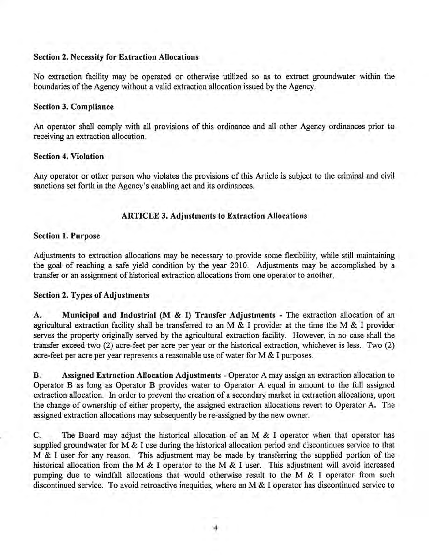## Section 2. Necessity for Extraction Allocations

No extraction facility may be operated or otherwise utilized so as to extract groundwater within the boundaries of the Agency without a valid extraction allocation issued by the Agency.

#### Section 3. Compliance

An operator shall comply with all provisions of this ordinance and all other Agency ordinances prior to receiving an extraction allocation.

## Section 4. Violation

Any operator or other person who violates the provisions of this Article is subject to the criminal and civil sanctions set forth in the Agency's enabling act and its ordinances.

## ARTICLE 3. Adjustments to Extraction Allocations

#### Section 1. Purpose

Adjustments to extraction allocations may be necessary to provide some flexibility, while still maintaining the goal of reaching a safe yield condition by the year 2010. Adjustments may be accomplished by a transfer or an assignment of historical extraction allocations from one operator to another.

## Section 2. Types of Adjustments

A. Municipal and Industrial (M & I) Transfer Adjustments - The extraction allocation of an agricultural extraction facility shall be transferred to an M & I provider at the time the M & I provider serves the property originally served by the agricultural extraction facility. However, in no case shall the transfer exceed two (2) acre-feet per acre per year or the historical extraction, whichever is less. Two (2) acre-feet per acre per year represents a reasonable use of water for  $M < I$  purposes.

B. Assigned Extraction Allocation Adjustments- Operator A may assign an extraction allocation to Operator B as long as Operator B provides water to Operator A equal in amount to the full assigned extraction allocation. In order to prevent the creation of a secondary market in extraction allocations, upon the change of ownership of either property, the assigned extraction allocations revert to Operator A. The assigned extraction allocations may subsequently be re-assigned by the new owner.

C. The Board may adjust the historical allocation of an M & I operator when that operator has supplied groundwater for M & I use during the historical allocation period and discontinues service to that M & I user for any reason. This adjustment may be made by transferring the supplied portion of the historical allocation from the M & I operator to the M & I user. This adjustment will avoid increased pumping due to windfall allocations that would otherwise result to the M & I operator from such discontinued service. To avoid retroactive inequities, where an M & I operator has discontinued service to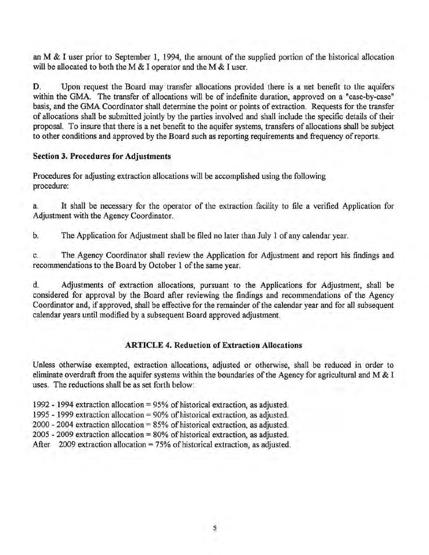an M & I user prior to September 1, 1994, the amount of the supplied portion of the historical allocation will be allocated to both the M  $&$  I operator and the M  $&$  I user.

D. Upon request the Board may transfer allocations provided there is a net benefit to the aquifers within the GMA. The transfer of allocations will be of indefinite duration, approved on a "case-by-case" basis, and the GMA Coordinator shall determine the point or points of extraction. Requests for the transfer of allocations shall be submitted jointly by the parties involved and shall include the specific details of their proposal. To insure that there is a net benefit to the aquifer systems, transfers of allocations shall be subject to other conditions and approved by the Board such as reporting requirements and frequency of reports.

## Section 3. Procedures for Adjustments

Procedures for adjusting extraction allocations will be accomplished using the following procedure:

a. It shall be necessary for the operator of the extraction facility to file a verified Application for Adjustment with the Agency Coordinator.

b. The Application for Adjustment shall be filed no later than July 1 of any calendar year.

c. The Agency Coordinator shall review the Application for Adjustment and report his findings and recommendations to the Board by October 1 of the same year.

d. Adjustments of extraction allocations, pursuant to the Applications for Adjustment, shall be considered for approval by the Board after reviewing the findings and recommendations of the Agency Coordinator and, if approved, shall be effective for the remainder of the calendar year and for all subsequent calendar years until modified by a subsequent Board approved adjustment.

## ARTICLE 4. Reduction of Extraction Allocations

Unless otherwise exempted, extraction allocations, adjusted or otherwise, shall be reduced in order to eliminate overdraft from the aquifer systems within the boundaries of the Agency for agricultural and M  $&$  I uses. The reductions shall be as set forth below:

1992- 1994 extraction allocation= 95% of historical extraction, as adjusted.

1995- 1999 extraction allocation= 90% of historical extraction, as adjusted.

2000- 2004 extraction allocation= 85% of historical extraction, as adjusted.

 $2005 - 2009$  extraction allocation = 80% of historical extraction, as adjusted.

After 2009 extraction allocation =  $75%$  of historical extraction, as adjusted.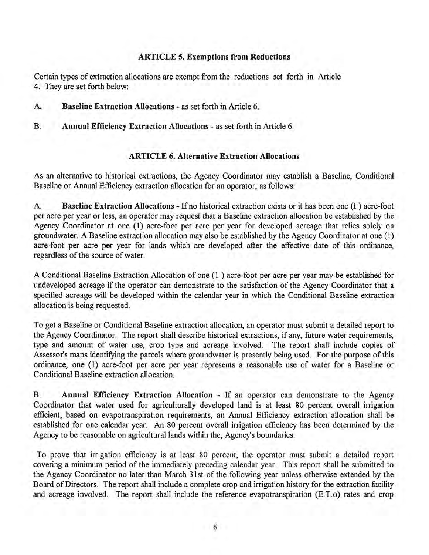## **ARTICLE 5. Exemptions from Reductions**

Certain types of extraction allocations are exempt from the reductions set forth in Article 4. They are set forth below:

- **A. Baseline Extraction Allocations**  as set forth in Article 6.
- **B. Annual Efficiency Extraction Allocations-** as set forth in Article 6.

#### **ARTICLE 6. Alternative Extraction Allocations**

As an alternative to historical extractions, the Agency Coordinator may establish a Baseline, Conditional Baseline or Annual Efficiency extraction allocation for an operator, as follows:

A **Baseline Extraction Allocations** - If no historical extraction exists or it has been one (I ) acre-foot per acre per year or less, an operator may request that a Baseline extraction allocation be established by the Agency Coordinator at one (I) acre-foot per acre per year for developed acreage that relies solely on groundwater. A Baseline extraction allocation may also be established by the Agency Coordinator at one (1) acre-foot per acre per year for lands which are developed after the effective date of this ordinance, regardless of the source of water.

A Conditional Baseline Extraction Allocation of one (1 ) acre-foot per acre per year may be established for undeveloped acreage if the operator can demonstrate to the satisfaction of the Agency Coordinator that a specified acreage will be developed within the calendar year in which the Conditional Baseline extraction allocation is being requested.

To get a Baseline or Conditional Baseline extraction allocation, an operator must submit a detailed report to the Agency Coordinator. The report shall describe historical extractions, if any, future water requirements, type and amount of water use, crop type and acreage involved. The report shall include copies of Assessor's maps identifying the parcels where groundwater is presently being used. For the purpose of this ordinance, one (1) acre-foot per acre per year represents a reasonable use of water for a Baseline or Conditional Baseline extraction allocation.

**B. Annual Efficiency Extraction Allocation** - If an operator can demonstrate to the Agency Coordinator that water used for agriculturally developed land is at least 80 percent overall irrigation efficient, based on evapotranspiration requirements, an Annual Efficiency extraction allocation shall be established for one calendar year. An 80 percent overall irrigation efficiency has been determined by the Agency to be reasonable on agricultural lands within the, Agency's boundaries.

To prove that irrigation efficiency is at least 80 percent, the operator must submit a detailed report covering a minimum period of the immediately preceding calendar year. This report shall be submitted to the Agency Coordinator no later than March 31st of the following year unless otherwise extended by the Board of Directors. The report shall include a complete crop and irrigation history for the extraction facility and acreage involved. The report shall include the reference evapotranspiration (E.T.o) rates and crop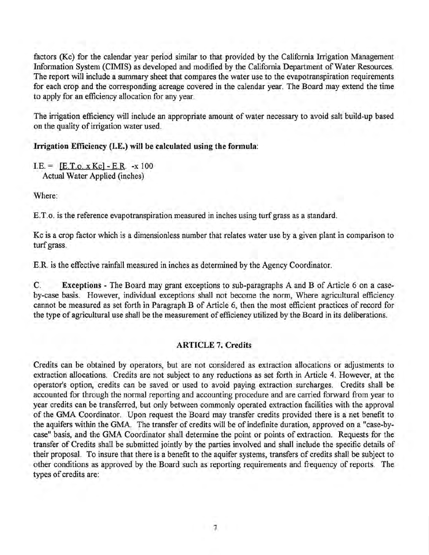factors (Kc) for the calendar year period similar to that provided by the California Irrigation Management Information System (CIMIS) as developed and modified by the California Department of Water Resources. The report will include a summary sheet that compares the water use to the evapotranspiration requirements for each crop and the corresponding acreage covered in the calendar year. The Board may extend the time to apply for an efficiency allocation for any year.

The irrigation efficiency will include an appropriate amount of water necessary to avoid salt build-up based on the quality of irrigation water used.

## Irrigation Efficiency (I.E.) will be calculated using the formula:

 $I.E. = [E.T.o. x Kc] - E.R. -x 100$ Actual Water Applied (inches)

Where:

E. T. o. is the reference evapotranspiration measured in inches using turf grass as a standard.

Kc is a crop factor which is a dimensionless number that relates water use by a given plant in comparison to turf grass.

E.R. is the effective rainfall measured in inches as determined by the Agency Coordinator.

C. Exceptions - The Board may grant exceptions to sub-paragraphs A and B of Article 6 on a caseby-case basis. However, individual exceptions shall not become the norm, Where agricultural efficiency cannot be measured as set forth in Paragraph B of Article 6, then the most efficient practices of record for the type of agricultural use shall be the measurement of efficiency utilized by the Board in its deliberations.

#### ARTICLE 7. Credits

Credits can be obtained by operators, but are not considered as extraction allocations or adjustments to extraction allocations. Credits are not subject to any reductions as set forth in Article 4. However, at the operator's option, credits can be saved or used to avoid paying extraction surcharges. Credits shall be accounted for through the normal reporting and accounting procedure and are carried forward from year to year credits can be transferred, but only between commonly operated extraction facilities with the approval of the GMA Coordinator. Upon request the Board may transfer credits provided there is a net benefit to the aquifers within the GMA. The transfer of credits will be of indefinite duration, approved on a "case-bycase" basis, and the GMA Coordinator shall determine the point or points of extraction. Requests for the transfer of Credits shall be submitted jointly by the parties involved and shall include the specific details of their proposal. To insure that there is a benefit to the aquifer systems, transfers of credits shall be subject to other conditions as approved by the Board such as reporting requirements and frequency of reports. The types of credits are: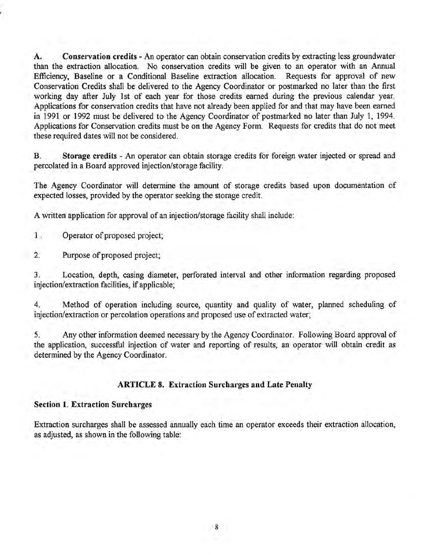A. Conservation credits - An operator can obtain conservation credits by extracting less groundwater than the extraction allocation. No conservation credits will be given to an operator with an Annual Efficiency, Baseline or a Conditional Baseline extraction allocation. Requests for approval of new Conservation Credits shall be delivered to the Agency Coordinator or postmarked no later than the first working day after July 1st of each year for those credits earned during the previous calendar year. Applications for conservation credits that have not already been applied for and that may have been earned in 1991 or 1992 must be delivered to the Agency Coordinator of postmarked no later than July 1, 1994. Applications for Conservation credits must be on the Agency Form. Requests for credits that do not meet these required dates will not be considered.

B. Storage credits - An operator can obtain storage credits for foreign water injected or spread and percolated in a Board approved injection/storage facility.

The Agency Coordinator will determine the amount of storage credits based upon documentation of expected losses, provided by the operator seeking the storage credit.

A written application for approval of an injection/storage facility shall include:

1 . Operator of proposed project;

2. Purpose of proposed project;

3. Location, depth, casing diameter, perforated interval and other information regarding proposed injection/extraction facilities, if applicable;

4. Method of operation including source, quantity and quality of water, planned scheduling of injection/extraction or percolation operations and proposed use of extracted water;

5. Any other information deemed necessary by the Agency Coordinator. Following Board approval of the application, successful injection of water and reporting of results, an operator will obtain credit as determined by the Agency Coordinator.

## ARTICLE 8. Extraction Surcharges and Late Penalty

## Section 1. Extraction Surcharges

Extraction surcharges shall be assessed annually each time an operator exceeds their extraction allocation, as adjusted, as shown in the following table: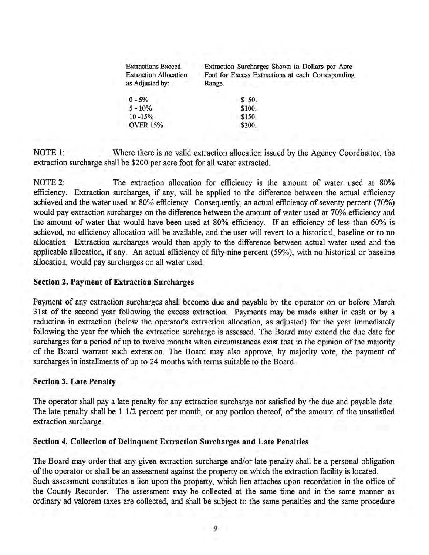| <b>Extractions Exceed</b><br><b>Extraction Allocation</b><br>as Adjusted by: | Extraction Surcharges Shown in Dollars per Acre-<br>Foot for Excess Extractions at each Corresponding<br>Range. |
|------------------------------------------------------------------------------|-----------------------------------------------------------------------------------------------------------------|
| $0 - 5\%$                                                                    | \$50.                                                                                                           |
| $5 - 10\%$                                                                   | \$100.                                                                                                          |
| $10 - 15%$                                                                   | \$150.                                                                                                          |
| <b>OVER 15%</b>                                                              | \$200.                                                                                                          |

NOTE 1: Where there is no valid extraction allocation issued by the Agency Coordinator, the extraction surcharge shall be \$200 per acre foot for all water extracted.

NOTE 2: The extraction allocation for efficiency is the amount of water used at 80% efficiency. Extraction surcharges, if any, will be applied to the difference between the actual efficiency achieved and the water used at 80% efficiency. Consequently, an actual efficiency of seventy percent (70%) would pay extraction surcharges on the difference between the amount of water used at 70% efficiency and the amount of water that would have been used at 80% efficiency. If an efficiency of less than 60% is achieved, no efficiency allocation will be available, and the user will revert to a historical, baseline or to no allocation. Extraction surcharges would then apply to the difference between actual water used and the applicable allocation, if any. An actual efficiency of fifty-nine percent (59%), with no historical or baseline allocation, would pay surcharges on all water used.

#### **Section 2. Payment of Extraction Surcharges**

Payment of any extraction surcharges shall become due and payable by the operator on or before March 31st of the second year following the excess extraction. Payments may be made either in cash or by a reduction in extraction (below the operator's extraction allocation, as adjusted) for the year immediately following the year for which the extraction surcharge is assessed. The Board may extend the due date for surcharges for a period of up to twelve months when circumstances exist that in the opinion of the majority of the Board warrant such extension. The Board may also approve, by majority vote, the payment of surcharges in installments of up to 24 months with terms suitable to the Board.

## **Section 3. Late Penalty**

The operator shall pay a late penalty for any extraction surcharge not satisfied by the due and payable date. The late penalty shall be 1 1/2 percent per month, or any portion thereof, of the amount of the unsatisfied extraction surcharge.

#### **Section 4. Collection of Delinquent Extraction Surcharges and Late Penalties**

The Board may order that any given extraction surcharge and/or late penalty shall be a personal obligation of the operator or shall be an assessment against the property on which the extraction facility is located. Such assessment constitutes a lien upon the property, which lien attaches upon recordation in the office of the County Recorder. The assessment may be collected at the same time and in the same manner as ordinary ad valorem taxes are collected, and shall be subject to the same penalties and the same procedure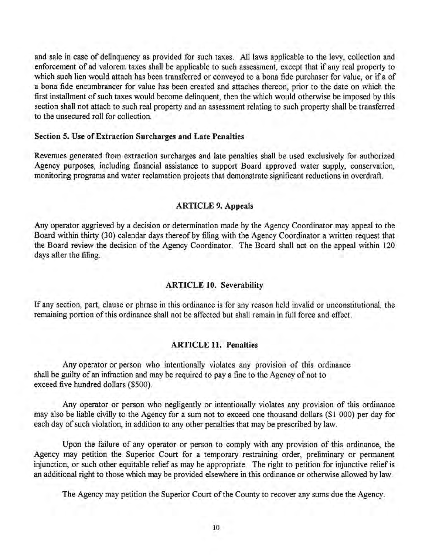and sale in case of delinquency as provided for such taxes. All laws applicable to the levy, collection and enforcement of ad valorem taxes shall be applicable to such assessment, except that if any real property to which such lien would attach has been transferred or conveyed to a bona fide purchaser for value, or if a of a bona fide encumbrancer for value has been created and attaches thereon, prior to the date on which the first installment of such taxes would become delinquent, then the which would otherwise be imposed by this section shall not attach to such real property and an assessment relating to such property shall be transferred to the unsecured roll for collection.

#### Section 5. Use of Extraction Surcharges and Late Penalties

Revenues generated from extraction surcharges and late penalties shall be used exclusively for authorized Agency purposes, including financial assistance to support Board approved water supply, conservation, monitoring programs and water reclamation projects that demonstrate significant reductions in overdraft.

## ARTICLE 9. Appeals

Any operator aggrieved by a decision or determination made by the Agency Coordinator may appeal to the Board within thirty (30) calendar days thereof by filing with the Agency Coordinator a written request that the Board review the decision of the Agency Coordinator. The Board shall act on the appeal within 120 days after the filing.

#### ARTICLE 10. Severability

If any section, part, clause or phrase in this ordinance is for any reason held invalid or unconstitutional, the remaining portion of this ordinance shall not be affected but shall remain in full force and effect.

#### ARTICLE 11. Penalties

Any operator or person who intentionally violates any provision of this ordinance shall be guilty of an infraction and may be required to pay a fine to the Agency of not to exceed five hundred dollars (\$500).

Any operator or person who negligently or intentionally violates any provision of this ordinance may also be liable civilly to the Agency for a sum not to exceed one thousand dollars (\$1 000) per day for each day of such violation, in addition to any other penalties that may be prescribed by law.

Upon the failure of any operator or person to comply with any provision of this ordinance, the Agency may petition the Superior Court for a temporary restraining order, preliminary or permanent injunction, or such other equitable relief as may be appropriate. The right to petition for injunctive relief is an additional right to those which may be provided elsewhere in this ordinance or otherwise allowed by law.

The Agency may petition the Superior Court of the County to recover any sums due the Agency.